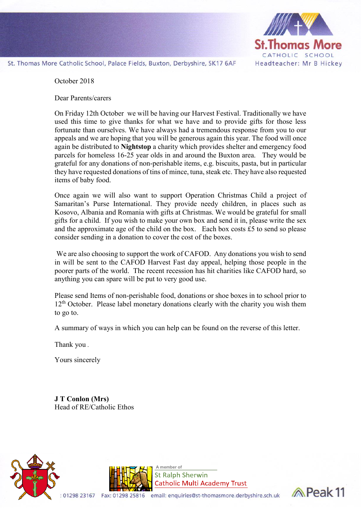

St. Thomas More Catholic School, Palace Fields, Buxton, Derbyshire, SK17 6AF

October 2018

Dear Parents/carers

On Friday 12th October we will be having our Harvest Festival. Traditionally we have used this time to give thanks for what we have and to provide gifts for those less fortunate than ourselves. We have always had a tremendous response from you to our appeals and we are hoping that you will be generous again this year. The food will once again be distributed to **Nightstop** a charity which provides shelter and emergency food parcels for homeless 16-25 year olds in and around the Buxton area. They would be grateful for any donations of non-perishable items, e.g. biscuits, pasta, but in particular they have requested donations of tins of mince, tuna, steak etc. They have also requested items of baby food.

Once again we will also want to support Operation Christmas Child a project of Samaritan's Purse International. They provide needy children, in places such as Kosovo, Albania and Romania with gifts at Christmas. We would be grateful for small gifts for a child. If you wish to make your own box and send it in, please write the sex and the approximate age of the child on the box. Each box costs £5 to send so please consider sending in a donation to cover the cost of the boxes.

We are also choosing to support the work of CAFOD. Any donations you wish to send in will be sent to the CAFOD Harvest Fast day appeal, helping those people in the poorer parts of the world. The recent recession has hit charities like CAFOD hard, so anything you can spare will be put to very good use.

Please send Items of non-perishable food, donations or shoe boxes in to school prior to 12<sup>th</sup> October. Please label monetary donations clearly with the charity you wish them to go to.

A summary of ways in which you can help can be found on the reverse of this letter.

Thank you .

Yours sincerely

01298 23167

**J T Conlon (Mrs)**  Head of RE/Catholic Ethos